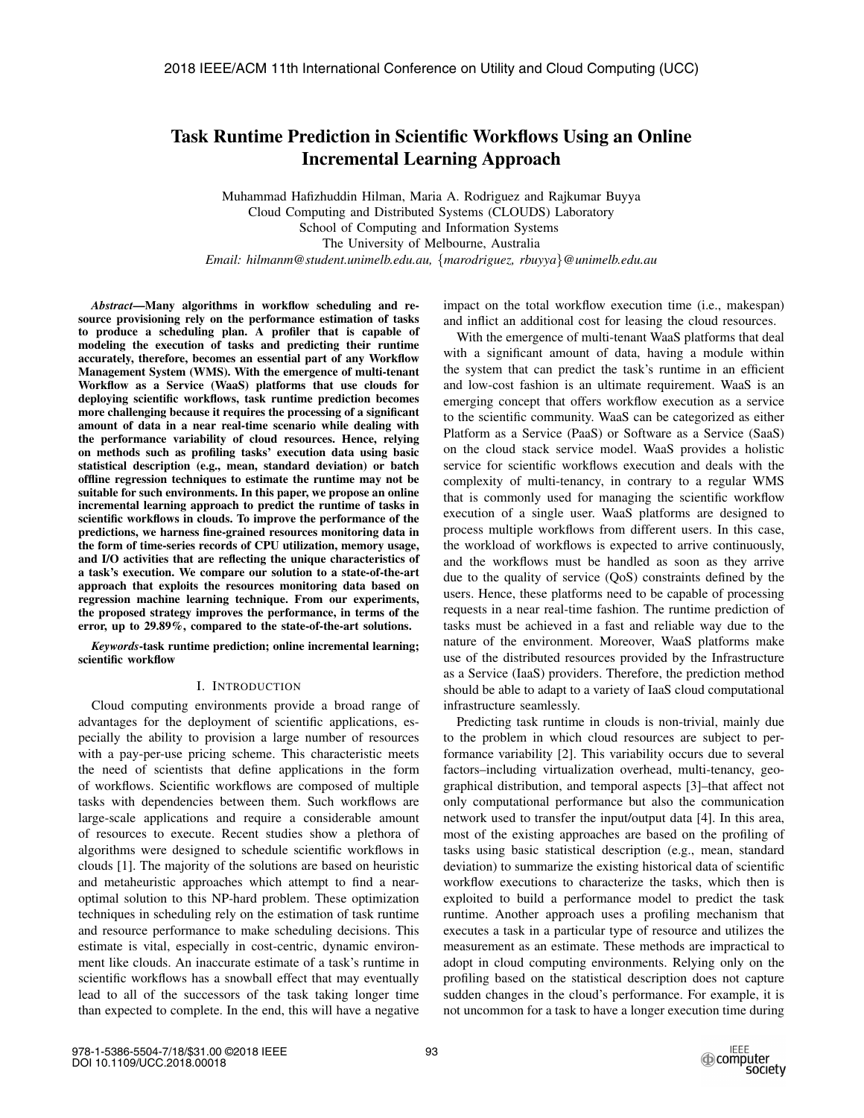# Task Runtime Prediction in Scientific Workflows Using an Online Incremental Learning Approach

Muhammad Hafizhuddin Hilman, Maria A. Rodriguez and Rajkumar Buyya Cloud Computing and Distributed Systems (CLOUDS) Laboratory School of Computing and Information Systems The University of Melbourne, Australia *Email: hilmanm@student.unimelb.edu.au,* {*marodriguez, rbuyya*}*@unimelb.edu.au*

*Abstract*—Many algorithms in workflow scheduling and resource provisioning rely on the performance estimation of tasks to produce a scheduling plan. A profiler that is capable of modeling the execution of tasks and predicting their runtime accurately, therefore, becomes an essential part of any Workflow Management System (WMS). With the emergence of multi-tenant Workflow as a Service (WaaS) platforms that use clouds for deploying scientific workflows, task runtime prediction becomes more challenging because it requires the processing of a significant amount of data in a near real-time scenario while dealing with the performance variability of cloud resources. Hence, relying on methods such as profiling tasks' execution data using basic statistical description (e.g., mean, standard deviation) or batch offline regression techniques to estimate the runtime may not be suitable for such environments. In this paper, we propose an online incremental learning approach to predict the runtime of tasks in scientific workflows in clouds. To improve the performance of the predictions, we harness fine-grained resources monitoring data in the form of time-series records of CPU utilization, memory usage, and I/O activities that are reflecting the unique characteristics of a task's execution. We compare our solution to a state-of-the-art approach that exploits the resources monitoring data based on regression machine learning technique. From our experiments, the proposed strategy improves the performance, in terms of the error, up to 29.89%, compared to the state-of-the-art solutions.

*Keywords*-task runtime prediction; online incremental learning; scientific workflow

### I. INTRODUCTION

Cloud computing environments provide a broad range of advantages for the deployment of scientific applications, especially the ability to provision a large number of resources with a pay-per-use pricing scheme. This characteristic meets the need of scientists that define applications in the form of workflows. Scientific workflows are composed of multiple tasks with dependencies between them. Such workflows are large-scale applications and require a considerable amount of resources to execute. Recent studies show a plethora of algorithms were designed to schedule scientific workflows in clouds [1]. The majority of the solutions are based on heuristic and metaheuristic approaches which attempt to find a nearoptimal solution to this NP-hard problem. These optimization techniques in scheduling rely on the estimation of task runtime and resource performance to make scheduling decisions. This estimate is vital, especially in cost-centric, dynamic environment like clouds. An inaccurate estimate of a task's runtime in scientific workflows has a snowball effect that may eventually lead to all of the successors of the task taking longer time than expected to complete. In the end, this will have a negative impact on the total workflow execution time (i.e., makespan) and inflict an additional cost for leasing the cloud resources.

With the emergence of multi-tenant WaaS platforms that deal with a significant amount of data, having a module within the system that can predict the task's runtime in an efficient and low-cost fashion is an ultimate requirement. WaaS is an emerging concept that offers workflow execution as a service to the scientific community. WaaS can be categorized as either Platform as a Service (PaaS) or Software as a Service (SaaS) on the cloud stack service model. WaaS provides a holistic service for scientific workflows execution and deals with the complexity of multi-tenancy, in contrary to a regular WMS that is commonly used for managing the scientific workflow execution of a single user. WaaS platforms are designed to process multiple workflows from different users. In this case, the workload of workflows is expected to arrive continuously, and the workflows must be handled as soon as they arrive due to the quality of service (QoS) constraints defined by the users. Hence, these platforms need to be capable of processing requests in a near real-time fashion. The runtime prediction of tasks must be achieved in a fast and reliable way due to the nature of the environment. Moreover, WaaS platforms make use of the distributed resources provided by the Infrastructure as a Service (IaaS) providers. Therefore, the prediction method should be able to adapt to a variety of IaaS cloud computational infrastructure seamlessly.

Predicting task runtime in clouds is non-trivial, mainly due to the problem in which cloud resources are subject to performance variability [2]. This variability occurs due to several factors–including virtualization overhead, multi-tenancy, geographical distribution, and temporal aspects [3]–that affect not only computational performance but also the communication network used to transfer the input/output data [4]. In this area, most of the existing approaches are based on the profiling of tasks using basic statistical description (e.g., mean, standard deviation) to summarize the existing historical data of scientific workflow executions to characterize the tasks, which then is exploited to build a performance model to predict the task runtime. Another approach uses a profiling mechanism that executes a task in a particular type of resource and utilizes the measurement as an estimate. These methods are impractical to adopt in cloud computing environments. Relying only on the profiling based on the statistical description does not capture sudden changes in the cloud's performance. For example, it is not uncommon for a task to have a longer execution time during

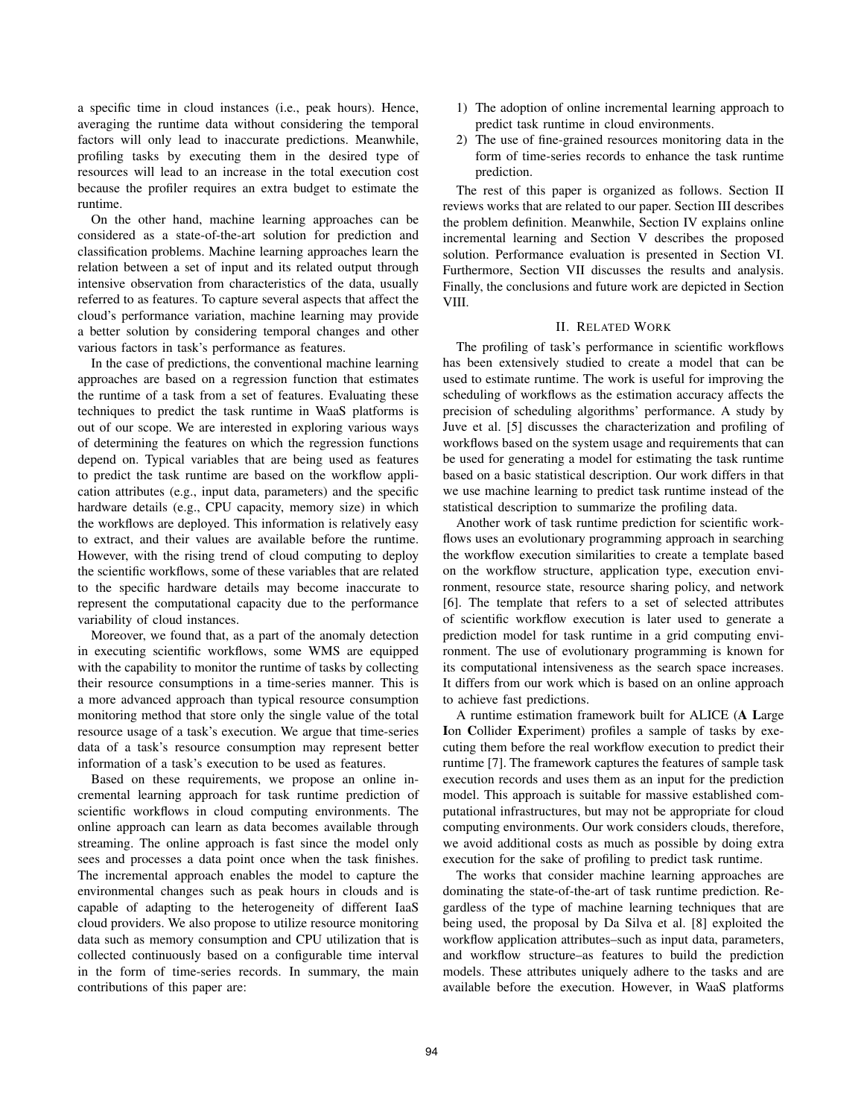a specific time in cloud instances (i.e., peak hours). Hence, averaging the runtime data without considering the temporal factors will only lead to inaccurate predictions. Meanwhile, profiling tasks by executing them in the desired type of resources will lead to an increase in the total execution cost because the profiler requires an extra budget to estimate the runtime.

On the other hand, machine learning approaches can be considered as a state-of-the-art solution for prediction and classification problems. Machine learning approaches learn the relation between a set of input and its related output through intensive observation from characteristics of the data, usually referred to as features. To capture several aspects that affect the cloud's performance variation, machine learning may provide a better solution by considering temporal changes and other various factors in task's performance as features.

In the case of predictions, the conventional machine learning approaches are based on a regression function that estimates the runtime of a task from a set of features. Evaluating these techniques to predict the task runtime in WaaS platforms is out of our scope. We are interested in exploring various ways of determining the features on which the regression functions depend on. Typical variables that are being used as features to predict the task runtime are based on the workflow application attributes (e.g., input data, parameters) and the specific hardware details (e.g., CPU capacity, memory size) in which the workflows are deployed. This information is relatively easy to extract, and their values are available before the runtime. However, with the rising trend of cloud computing to deploy the scientific workflows, some of these variables that are related to the specific hardware details may become inaccurate to represent the computational capacity due to the performance variability of cloud instances.

Moreover, we found that, as a part of the anomaly detection in executing scientific workflows, some WMS are equipped with the capability to monitor the runtime of tasks by collecting their resource consumptions in a time-series manner. This is a more advanced approach than typical resource consumption monitoring method that store only the single value of the total resource usage of a task's execution. We argue that time-series data of a task's resource consumption may represent better information of a task's execution to be used as features.

Based on these requirements, we propose an online incremental learning approach for task runtime prediction of scientific workflows in cloud computing environments. The online approach can learn as data becomes available through streaming. The online approach is fast since the model only sees and processes a data point once when the task finishes. The incremental approach enables the model to capture the environmental changes such as peak hours in clouds and is capable of adapting to the heterogeneity of different IaaS cloud providers. We also propose to utilize resource monitoring data such as memory consumption and CPU utilization that is collected continuously based on a configurable time interval in the form of time-series records. In summary, the main contributions of this paper are:

- 1) The adoption of online incremental learning approach to predict task runtime in cloud environments.
- 2) The use of fine-grained resources monitoring data in the form of time-series records to enhance the task runtime prediction.

The rest of this paper is organized as follows. Section II reviews works that are related to our paper. Section III describes the problem definition. Meanwhile, Section IV explains online incremental learning and Section V describes the proposed solution. Performance evaluation is presented in Section VI. Furthermore, Section VII discusses the results and analysis. Finally, the conclusions and future work are depicted in Section VIII.

# II. RELATED WORK

The profiling of task's performance in scientific workflows has been extensively studied to create a model that can be used to estimate runtime. The work is useful for improving the scheduling of workflows as the estimation accuracy affects the precision of scheduling algorithms' performance. A study by Juve et al. [5] discusses the characterization and profiling of workflows based on the system usage and requirements that can be used for generating a model for estimating the task runtime based on a basic statistical description. Our work differs in that we use machine learning to predict task runtime instead of the statistical description to summarize the profiling data.

Another work of task runtime prediction for scientific workflows uses an evolutionary programming approach in searching the workflow execution similarities to create a template based on the workflow structure, application type, execution environment, resource state, resource sharing policy, and network [6]. The template that refers to a set of selected attributes of scientific workflow execution is later used to generate a prediction model for task runtime in a grid computing environment. The use of evolutionary programming is known for its computational intensiveness as the search space increases. It differs from our work which is based on an online approach to achieve fast predictions.

A runtime estimation framework built for ALICE (A Large Ion Collider Experiment) profiles a sample of tasks by executing them before the real workflow execution to predict their runtime [7]. The framework captures the features of sample task execution records and uses them as an input for the prediction model. This approach is suitable for massive established computational infrastructures, but may not be appropriate for cloud computing environments. Our work considers clouds, therefore, we avoid additional costs as much as possible by doing extra execution for the sake of profiling to predict task runtime.

The works that consider machine learning approaches are dominating the state-of-the-art of task runtime prediction. Regardless of the type of machine learning techniques that are being used, the proposal by Da Silva et al. [8] exploited the workflow application attributes–such as input data, parameters, and workflow structure–as features to build the prediction models. These attributes uniquely adhere to the tasks and are available before the execution. However, in WaaS platforms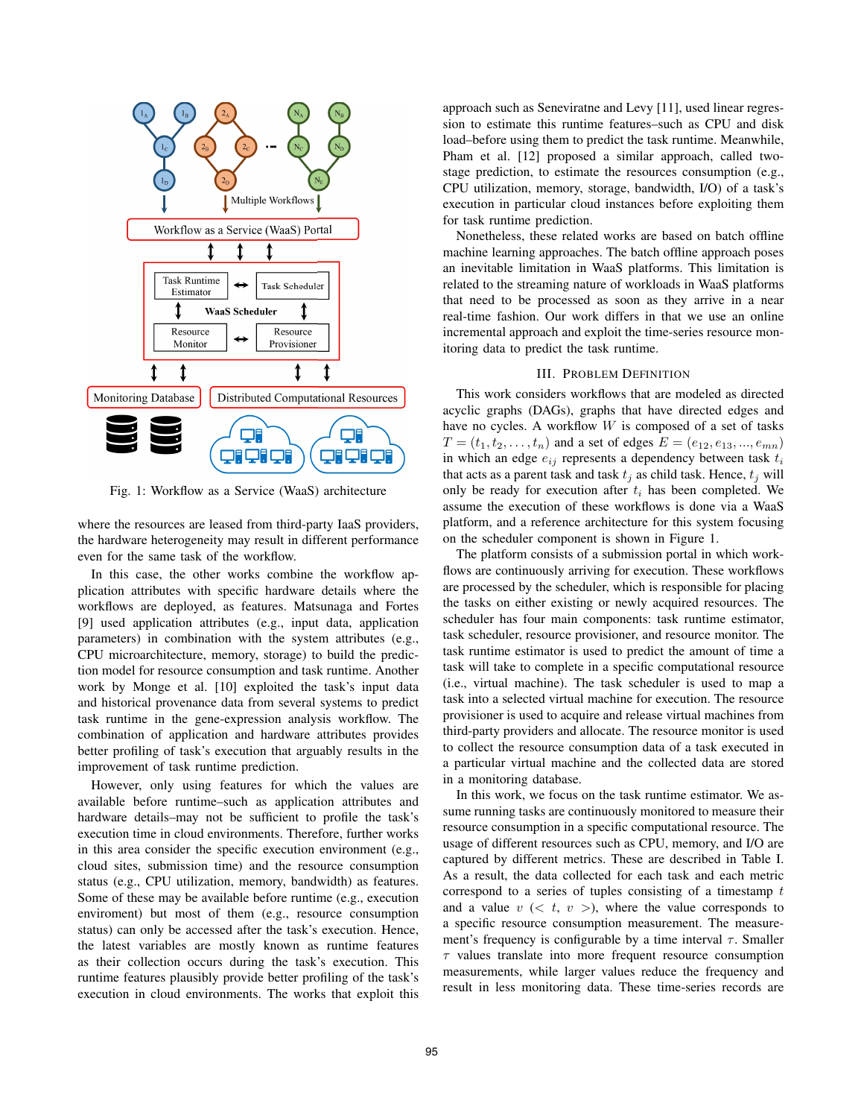

Fig. 1: Workflow as a Service (WaaS) architecture

where the resources are leased from third-party IaaS providers, the hardware heterogeneity may result in different performance even for the same task of the workflow.

In this case, the other works combine the workflow application attributes with specific hardware details where the workflows are deployed, as features. Matsunaga and Fortes [9] used application attributes (e.g., input data, application parameters) in combination with the system attributes (e.g., CPU microarchitecture, memory, storage) to build the prediction model for resource consumption and task runtime. Another work by Monge et al. [10] exploited the task's input data and historical provenance data from several systems to predict task runtime in the gene-expression analysis workflow. The combination of application and hardware attributes provides better profiling of task's execution that arguably results in the improvement of task runtime prediction.

However, only using features for which the values are available before runtime–such as application attributes and hardware details–may not be sufficient to profile the task's execution time in cloud environments. Therefore, further works in this area consider the specific execution environment (e.g., cloud sites, submission time) and the resource consumption status (e.g., CPU utilization, memory, bandwidth) as features. Some of these may be available before runtime (e.g., execution enviroment) but most of them (e.g., resource consumption status) can only be accessed after the task's execution. Hence, the latest variables are mostly known as runtime features as their collection occurs during the task's execution. This runtime features plausibly provide better profiling of the task's execution in cloud environments. The works that exploit this

approach such as Seneviratne and Levy [11], used linear regression to estimate this runtime features–such as CPU and disk load–before using them to predict the task runtime. Meanwhile, Pham et al. [12] proposed a similar approach, called twostage prediction, to estimate the resources consumption (e.g., CPU utilization, memory, storage, bandwidth, I/O) of a task's execution in particular cloud instances before exploiting them for task runtime prediction.

Nonetheless, these related works are based on batch offline machine learning approaches. The batch offline approach poses an inevitable limitation in WaaS platforms. This limitation is related to the streaming nature of workloads in WaaS platforms that need to be processed as soon as they arrive in a near real-time fashion. Our work differs in that we use an online incremental approach and exploit the time-series resource monitoring data to predict the task runtime.

# III. PROBLEM DEFINITION

This work considers workflows that are modeled as directed acyclic graphs (DAGs), graphs that have directed edges and have no cycles. A workflow  $W$  is composed of a set of tasks  $T = (t_1, t_2, \ldots, t_n)$  and a set of edges  $E = (e_{12}, e_{13}, \ldots, e_{mn})$ in which an edge  $e_{ij}$  represents a dependency between task  $t_i$ that acts as a parent task and task  $t_i$  as child task. Hence,  $t_i$  will only be ready for execution after  $t_i$  has been completed. We assume the execution of these workflows is done via a WaaS platform, and a reference architecture for this system focusing on the scheduler component is shown in Figure 1.

The platform consists of a submission portal in which workflows are continuously arriving for execution. These workflows are processed by the scheduler, which is responsible for placing the tasks on either existing or newly acquired resources. The scheduler has four main components: task runtime estimator, task scheduler, resource provisioner, and resource monitor. The task runtime estimator is used to predict the amount of time a task will take to complete in a specific computational resource (i.e., virtual machine). The task scheduler is used to map a task into a selected virtual machine for execution. The resource provisioner is used to acquire and release virtual machines from third-party providers and allocate. The resource monitor is used to collect the resource consumption data of a task executed in a particular virtual machine and the collected data are stored in a monitoring database.

In this work, we focus on the task runtime estimator. We assume running tasks are continuously monitored to measure their resource consumption in a specific computational resource. The usage of different resources such as CPU, memory, and I/O are captured by different metrics. These are described in Table I. As a result, the data collected for each task and each metric correspond to a series of tuples consisting of a timestamp  $t$ and a value  $v \leq t, v >$ ), where the value corresponds to a specific resource consumption measurement. The measurement's frequency is configurable by a time interval  $\tau$ . Smaller  $\tau$  values translate into more frequent resource consumption measurements, while larger values reduce the frequency and result in less monitoring data. These time-series records are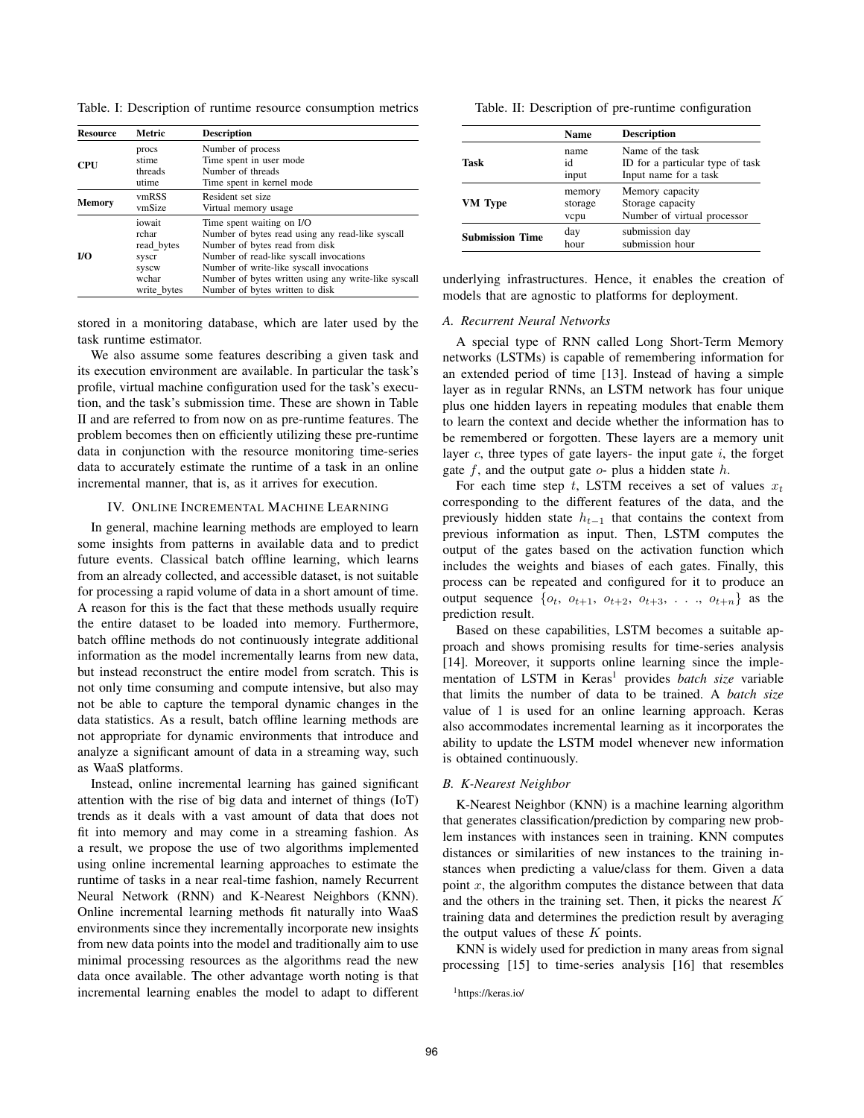Table. I: Description of runtime resource consumption metrics

| <b>Resource</b> | Metric                                                                         | <b>Description</b>                                                                                                                                                                                                                                                                                |
|-----------------|--------------------------------------------------------------------------------|---------------------------------------------------------------------------------------------------------------------------------------------------------------------------------------------------------------------------------------------------------------------------------------------------|
| CPU             | procs<br>stime<br>threads<br>utime                                             | Number of process<br>Time spent in user mode<br>Number of threads<br>Time spent in kernel mode                                                                                                                                                                                                    |
| Memory          | vmRSS<br>vmSize                                                                | Resident set size<br>Virtual memory usage                                                                                                                                                                                                                                                         |
| <b>VO</b>       | iowait<br>rchar<br>read bytes<br>syscr<br><b>SVSCW</b><br>wchar<br>write bytes | Time spent waiting on I/O<br>Number of bytes read using any read-like syscall<br>Number of bytes read from disk<br>Number of read-like syscall invocations<br>Number of write-like syscall invocations<br>Number of bytes written using any write-like syscall<br>Number of bytes written to disk |

stored in a monitoring database, which are later used by the task runtime estimator.

We also assume some features describing a given task and its execution environment are available. In particular the task's profile, virtual machine configuration used for the task's execution, and the task's submission time. These are shown in Table II and are referred to from now on as pre-runtime features. The problem becomes then on efficiently utilizing these pre-runtime data in conjunction with the resource monitoring time-series data to accurately estimate the runtime of a task in an online incremental manner, that is, as it arrives for execution.

#### IV. ONLINE INCREMENTAL MACHINE LEARNING

In general, machine learning methods are employed to learn some insights from patterns in available data and to predict future events. Classical batch offline learning, which learns from an already collected, and accessible dataset, is not suitable for processing a rapid volume of data in a short amount of time. A reason for this is the fact that these methods usually require the entire dataset to be loaded into memory. Furthermore, batch offline methods do not continuously integrate additional information as the model incrementally learns from new data, but instead reconstruct the entire model from scratch. This is not only time consuming and compute intensive, but also may not be able to capture the temporal dynamic changes in the data statistics. As a result, batch offline learning methods are not appropriate for dynamic environments that introduce and analyze a significant amount of data in a streaming way, such as WaaS platforms.

Instead, online incremental learning has gained significant attention with the rise of big data and internet of things (IoT) trends as it deals with a vast amount of data that does not fit into memory and may come in a streaming fashion. As a result, we propose the use of two algorithms implemented using online incremental learning approaches to estimate the runtime of tasks in a near real-time fashion, namely Recurrent Neural Network (RNN) and K-Nearest Neighbors (KNN). Online incremental learning methods fit naturally into WaaS environments since they incrementally incorporate new insights from new data points into the model and traditionally aim to use minimal processing resources as the algorithms read the new data once available. The other advantage worth noting is that incremental learning enables the model to adapt to different

|  | Table. II: Description of pre-runtime configuration |  |  |  |
|--|-----------------------------------------------------|--|--|--|
|  |                                                     |  |  |  |

|                        | <b>Name</b>               | <b>Description</b>                                                            |
|------------------------|---------------------------|-------------------------------------------------------------------------------|
| Task                   | name<br>id<br>input       | Name of the task<br>ID for a particular type of task<br>Input name for a task |
| VM Type                | memory<br>storage<br>vcpu | Memory capacity<br>Storage capacity<br>Number of virtual processor            |
| <b>Submission Time</b> | day<br>hour               | submission day<br>submission hour                                             |

underlying infrastructures. Hence, it enables the creation of models that are agnostic to platforms for deployment.

## *A. Recurrent Neural Networks*

A special type of RNN called Long Short-Term Memory networks (LSTMs) is capable of remembering information for an extended period of time [13]. Instead of having a simple layer as in regular RNNs, an LSTM network has four unique plus one hidden layers in repeating modules that enable them to learn the context and decide whether the information has to be remembered or forgotten. These layers are a memory unit layer c, three types of gate layers- the input gate  $i$ , the forget gate  $f$ , and the output gate  $o$ - plus a hidden state  $h$ .

For each time step t, LSTM receives a set of values  $x_t$ corresponding to the different features of the data, and the previously hidden state  $h_{t-1}$  that contains the context from previous information as input. Then, LSTM computes the output of the gates based on the activation function which includes the weights and biases of each gates. Finally, this process can be repeated and configured for it to produce an output sequence  $\{o_t, o_{t+1}, o_{t+2}, o_{t+3}, \ldots, o_{t+n}\}$  as the prediction result.

Based on these capabilities, LSTM becomes a suitable approach and shows promising results for time-series analysis [14]. Moreover, it supports online learning since the implementation of LSTM in Keras<sup>1</sup> provides *batch size* variable that limits the number of data to be trained. A *batch size* value of 1 is used for an online learning approach. Keras also accommodates incremental learning as it incorporates the ability to update the LSTM model whenever new information is obtained continuously.

### *B. K-Nearest Neighbor*

K-Nearest Neighbor (KNN) is a machine learning algorithm that generates classification/prediction by comparing new problem instances with instances seen in training. KNN computes distances or similarities of new instances to the training instances when predicting a value/class for them. Given a data point  $x$ , the algorithm computes the distance between that data and the others in the training set. Then, it picks the nearest  $K$ training data and determines the prediction result by averaging the output values of these  $K$  points.

KNN is widely used for prediction in many areas from signal processing [15] to time-series analysis [16] that resembles

1https://keras.io/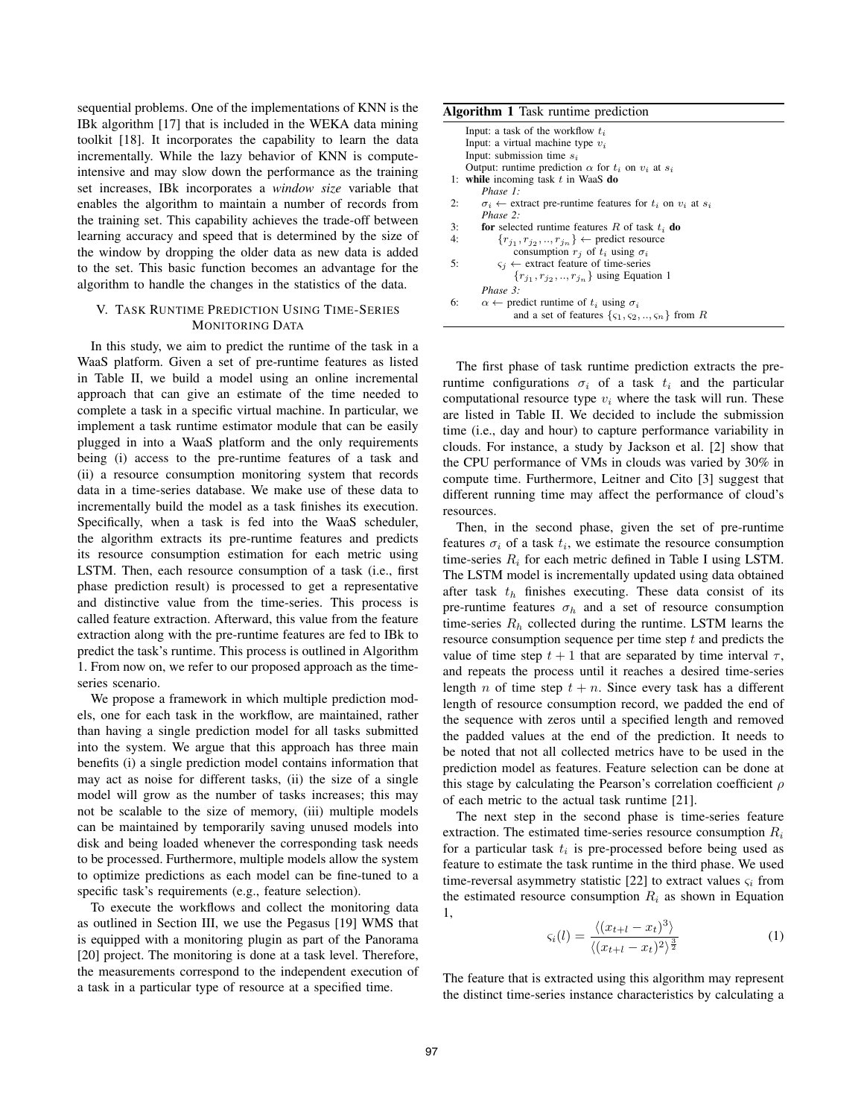sequential problems. One of the implementations of KNN is the IBk algorithm [17] that is included in the WEKA data mining toolkit [18]. It incorporates the capability to learn the data incrementally. While the lazy behavior of KNN is computeintensive and may slow down the performance as the training set increases, IBk incorporates a *window size* variable that enables the algorithm to maintain a number of records from the training set. This capability achieves the trade-off between learning accuracy and speed that is determined by the size of the window by dropping the older data as new data is added to the set. This basic function becomes an advantage for the algorithm to handle the changes in the statistics of the data.

# V. TASK RUNTIME PREDICTION USING TIME-SERIES MONITORING DATA

In this study, we aim to predict the runtime of the task in a WaaS platform. Given a set of pre-runtime features as listed in Table II, we build a model using an online incremental approach that can give an estimate of the time needed to complete a task in a specific virtual machine. In particular, we implement a task runtime estimator module that can be easily plugged in into a WaaS platform and the only requirements being (i) access to the pre-runtime features of a task and (ii) a resource consumption monitoring system that records data in a time-series database. We make use of these data to incrementally build the model as a task finishes its execution. Specifically, when a task is fed into the WaaS scheduler, the algorithm extracts its pre-runtime features and predicts its resource consumption estimation for each metric using LSTM. Then, each resource consumption of a task (i.e., first phase prediction result) is processed to get a representative and distinctive value from the time-series. This process is called feature extraction. Afterward, this value from the feature extraction along with the pre-runtime features are fed to IBk to predict the task's runtime. This process is outlined in Algorithm 1. From now on, we refer to our proposed approach as the timeseries scenario.

We propose a framework in which multiple prediction models, one for each task in the workflow, are maintained, rather than having a single prediction model for all tasks submitted into the system. We argue that this approach has three main benefits (i) a single prediction model contains information that may act as noise for different tasks, (ii) the size of a single model will grow as the number of tasks increases; this may not be scalable to the size of memory, (iii) multiple models can be maintained by temporarily saving unused models into disk and being loaded whenever the corresponding task needs to be processed. Furthermore, multiple models allow the system to optimize predictions as each model can be fine-tuned to a specific task's requirements (e.g., feature selection).

To execute the workflows and collect the monitoring data as outlined in Section III, we use the Pegasus [19] WMS that is equipped with a monitoring plugin as part of the Panorama [20] project. The monitoring is done at a task level. Therefore, the measurements correspond to the independent execution of a task in a particular type of resource at a specified time.

### Algorithm 1 Task runtime prediction

|    | Input: a task of the workflow $t_i$                                            |
|----|--------------------------------------------------------------------------------|
|    | Input: a virtual machine type $v_i$                                            |
|    | Input: submission time $s_i$                                                   |
|    | Output: runtime prediction $\alpha$ for $t_i$ on $v_i$ at $s_i$                |
|    | 1: while incoming task $t$ in WaaS do                                          |
|    | Phase 1:                                                                       |
| 2: | $\sigma_i \leftarrow$ extract pre-runtime features for $t_i$ on $v_i$ at $s_i$ |
|    | Phase $2$ :                                                                    |
| 3: | <b>for</b> selected runtime features R of task $t_i$ <b>do</b>                 |
| 4: | ${r_{i_1}, r_{i_2}, , r_{i_n}} \leftarrow$ predict resource                    |
|    | consumption $r_i$ of $t_i$ using $\sigma_i$                                    |
| 5: | $\varsigma_i \leftarrow$ extract feature of time-series                        |
|    | ${r_{i_1}, r_{i_2}, , r_{i_n}}$ using Equation 1                               |
|    | Phase 3:                                                                       |
| 6: | $\alpha \leftarrow$ predict runtime of $t_i$ using $\sigma_i$                  |
|    | and a set of features $\{\varsigma_1, \varsigma_2,,\varsigma_n\}$ from $R$     |
|    |                                                                                |

The first phase of task runtime prediction extracts the preruntime configurations  $\sigma_i$  of a task  $t_i$  and the particular computational resource type  $v_i$  where the task will run. These are listed in Table II. We decided to include the submission time (i.e., day and hour) to capture performance variability in clouds. For instance, a study by Jackson et al. [2] show that the CPU performance of VMs in clouds was varied by 30% in compute time. Furthermore, Leitner and Cito [3] suggest that different running time may affect the performance of cloud's resources.

Then, in the second phase, given the set of pre-runtime features  $\sigma_i$  of a task  $t_i$ , we estimate the resource consumption time-series  $R_i$  for each metric defined in Table I using LSTM. The LSTM model is incrementally updated using data obtained after task  $t<sub>h</sub>$  finishes executing. These data consist of its pre-runtime features  $\sigma_h$  and a set of resource consumption time-series  $R_h$  collected during the runtime. LSTM learns the resource consumption sequence per time step  $t$  and predicts the value of time step  $t + 1$  that are separated by time interval  $\tau$ , and repeats the process until it reaches a desired time-series length n of time step  $t + n$ . Since every task has a different length of resource consumption record, we padded the end of the sequence with zeros until a specified length and removed the padded values at the end of the prediction. It needs to be noted that not all collected metrics have to be used in the prediction model as features. Feature selection can be done at this stage by calculating the Pearson's correlation coefficient  $\rho$ of each metric to the actual task runtime [21].

The next step in the second phase is time-series feature extraction. The estimated time-series resource consumption  $R_i$ for a particular task  $t_i$  is pre-processed before being used as feature to estimate the task runtime in the third phase. We used time-reversal asymmetry statistic [22] to extract values  $\varsigma_i$  from the estimated resource consumption  $R_i$  as shown in Equation 1,

$$
\varsigma_i(l) = \frac{\langle (x_{t+l} - x_t)^3 \rangle}{\langle (x_{t+l} - x_t)^2 \rangle^{\frac{3}{2}}}
$$
(1)

The feature that is extracted using this algorithm may represent the distinct time-series instance characteristics by calculating a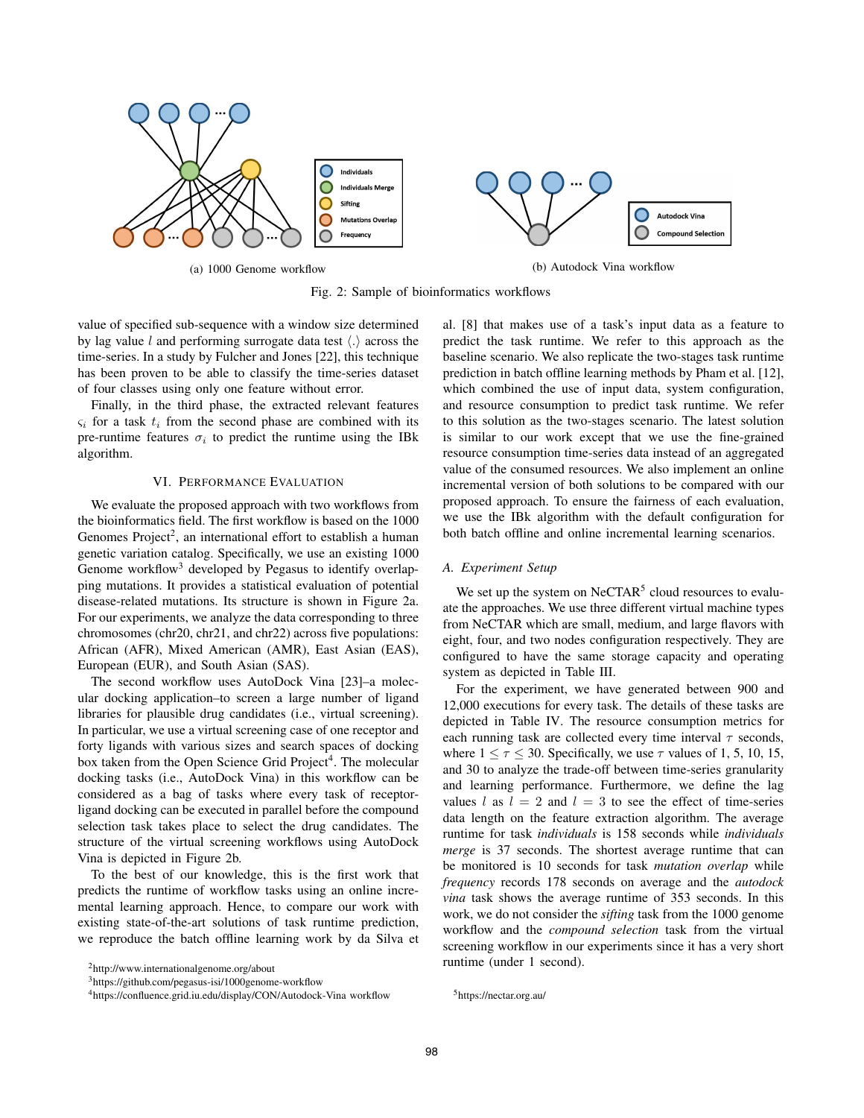

Fig. 2: Sample of bioinformatics workflows

value of specified sub-sequence with a window size determined by lag value l and performing surrogate data test  $\langle . \rangle$  across the time-series. In a study by Fulcher and Jones [22], this technique has been proven to be able to classify the time-series dataset of four classes using only one feature without error.

Finally, in the third phase, the extracted relevant features  $\zeta_i$  for a task  $t_i$  from the second phase are combined with its pre-runtime features  $\sigma_i$  to predict the runtime using the IBk algorithm.

# VI. PERFORMANCE EVALUATION

We evaluate the proposed approach with two workflows from the bioinformatics field. The first workflow is based on the 1000 Genomes Project<sup>2</sup>, an international effort to establish a human genetic variation catalog. Specifically, we use an existing 1000 Genome workflow<sup>3</sup> developed by Pegasus to identify overlapping mutations. It provides a statistical evaluation of potential disease-related mutations. Its structure is shown in Figure 2a. For our experiments, we analyze the data corresponding to three chromosomes (chr20, chr21, and chr22) across five populations: African (AFR), Mixed American (AMR), East Asian (EAS), European (EUR), and South Asian (SAS).

The second workflow uses AutoDock Vina [23]–a molecular docking application–to screen a large number of ligand libraries for plausible drug candidates (i.e., virtual screening). In particular, we use a virtual screening case of one receptor and forty ligands with various sizes and search spaces of docking box taken from the Open Science Grid Project<sup>4</sup>. The molecular docking tasks (i.e., AutoDock Vina) in this workflow can be considered as a bag of tasks where every task of receptorligand docking can be executed in parallel before the compound selection task takes place to select the drug candidates. The structure of the virtual screening workflows using AutoDock Vina is depicted in Figure 2b.

To the best of our knowledge, this is the first work that predicts the runtime of workflow tasks using an online incremental learning approach. Hence, to compare our work with existing state-of-the-art solutions of task runtime prediction, we reproduce the batch offline learning work by da Silva et al. [8] that makes use of a task's input data as a feature to predict the task runtime. We refer to this approach as the baseline scenario. We also replicate the two-stages task runtime prediction in batch offline learning methods by Pham et al. [12], which combined the use of input data, system configuration, and resource consumption to predict task runtime. We refer to this solution as the two-stages scenario. The latest solution is similar to our work except that we use the fine-grained resource consumption time-series data instead of an aggregated value of the consumed resources. We also implement an online incremental version of both solutions to be compared with our proposed approach. To ensure the fairness of each evaluation, we use the IBk algorithm with the default configuration for both batch offline and online incremental learning scenarios.

### *A. Experiment Setup*

We set up the system on  $NeCTAR<sup>5</sup>$  cloud resources to evaluate the approaches. We use three different virtual machine types from NeCTAR which are small, medium, and large flavors with eight, four, and two nodes configuration respectively. They are configured to have the same storage capacity and operating system as depicted in Table III.

For the experiment, we have generated between 900 and 12,000 executions for every task. The details of these tasks are depicted in Table IV. The resource consumption metrics for each running task are collected every time interval  $\tau$  seconds, where  $1 \le \tau \le 30$ . Specifically, we use  $\tau$  values of 1, 5, 10, 15, and 30 to analyze the trade-off between time-series granularity and learning performance. Furthermore, we define the lag values l as  $l = 2$  and  $l = 3$  to see the effect of time-series data length on the feature extraction algorithm. The average runtime for task *individuals* is 158 seconds while *individuals merge* is 37 seconds. The shortest average runtime that can be monitored is 10 seconds for task *mutation overlap* while *frequency* records 178 seconds on average and the *autodock vina* task shows the average runtime of 353 seconds. In this work, we do not consider the *sifting* task from the 1000 genome workflow and the *compound selection* task from the virtual screening workflow in our experiments since it has a very short runtime (under 1 second).

<sup>2</sup>http://www.internationalgenome.org/about

<sup>3</sup>https://github.com/pegasus-isi/1000genome-workflow

<sup>4</sup>https://confluence.grid.iu.edu/display/CON/Autodock-Vina workflow

<sup>5</sup>https://nectar.org.au/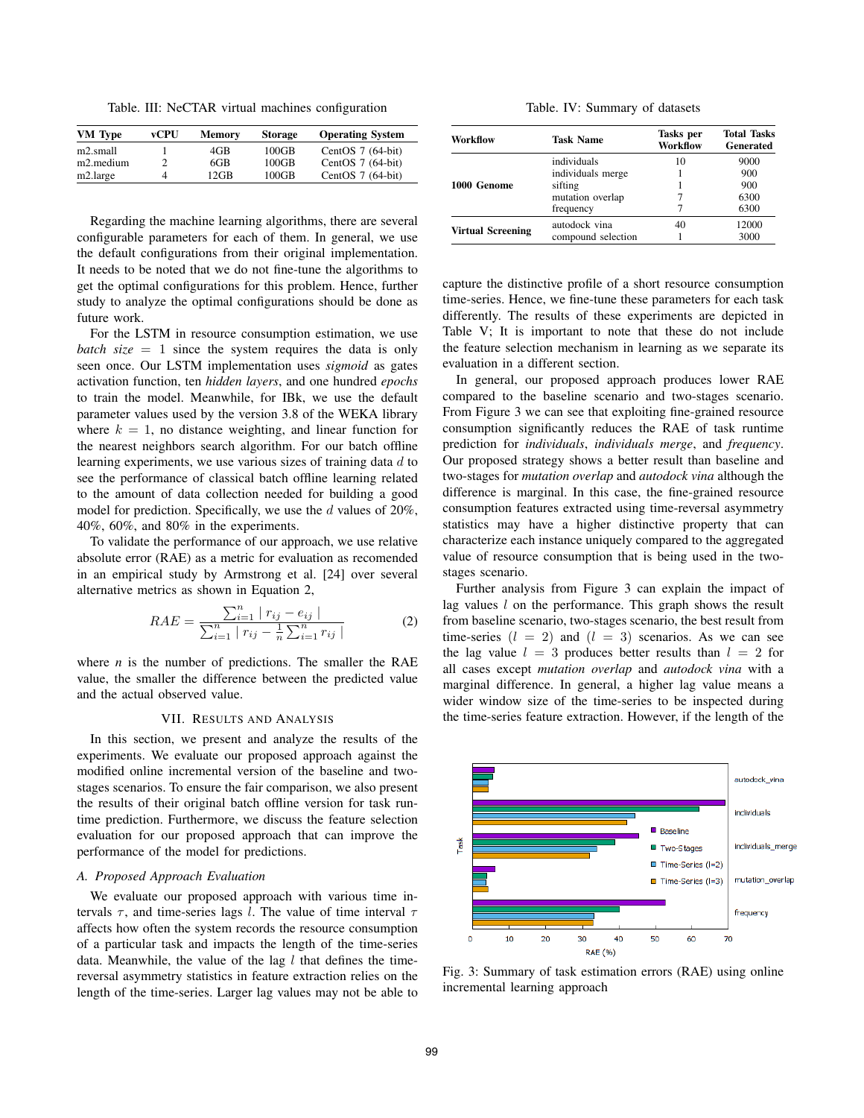Table. III: NeCTAR virtual machines configuration

| VM Type                | vCPU | <b>Memory</b> | <b>Storage</b> | <b>Operating System</b> |
|------------------------|------|---------------|----------------|-------------------------|
| m <sub>2</sub> .small  |      | 4GB           | 100GB          | Cent $OS$ 7 (64-bit)    |
| m <sub>2</sub> .medium |      | 6GB           | 100GB          | CentOS $7(64-bit)$      |
| m2.large               |      | 12GB          | 100GB          | Cent $OS$ 7 (64-bit)    |

Regarding the machine learning algorithms, there are several configurable parameters for each of them. In general, we use the default configurations from their original implementation. It needs to be noted that we do not fine-tune the algorithms to get the optimal configurations for this problem. Hence, further study to analyze the optimal configurations should be done as future work.

For the LSTM in resource consumption estimation, we use *batch size*  $= 1$  since the system requires the data is only seen once. Our LSTM implementation uses *sigmoid* as gates activation function, ten *hidden layers*, and one hundred *epochs* to train the model. Meanwhile, for IBk, we use the default parameter values used by the version 3.8 of the WEKA library where  $k = 1$ , no distance weighting, and linear function for the nearest neighbors search algorithm. For our batch offline learning experiments, we use various sizes of training data  $d$  to see the performance of classical batch offline learning related to the amount of data collection needed for building a good model for prediction. Specifically, we use the  $d$  values of 20%, 40%, 60%, and 80% in the experiments.

To validate the performance of our approach, we use relative absolute error (RAE) as a metric for evaluation as recomended in an empirical study by Armstrong et al. [24] over several alternative metrics as shown in Equation 2,

$$
RAE = \frac{\sum_{i=1}^{n} |r_{ij} - e_{ij}|}{\sum_{i=1}^{n} |r_{ij} - \frac{1}{n} \sum_{i=1}^{n} r_{ij}|}
$$
(2)

where  $n$  is the number of predictions. The smaller the RAE value, the smaller the difference between the predicted value and the actual observed value.

### VII. RESULTS AND ANALYSIS

In this section, we present and analyze the results of the experiments. We evaluate our proposed approach against the modified online incremental version of the baseline and twostages scenarios. To ensure the fair comparison, we also present the results of their original batch offline version for task runtime prediction. Furthermore, we discuss the feature selection evaluation for our proposed approach that can improve the performance of the model for predictions.

# *A. Proposed Approach Evaluation*

We evaluate our proposed approach with various time intervals  $\tau$ , and time-series lags l. The value of time interval  $\tau$ affects how often the system records the resource consumption of a particular task and impacts the length of the time-series data. Meanwhile, the value of the lag  $l$  that defines the timereversal asymmetry statistics in feature extraction relies on the length of the time-series. Larger lag values may not be able to

|  |  | Table. IV: Summary of datasets |  |  |
|--|--|--------------------------------|--|--|
|--|--|--------------------------------|--|--|

| Workflow                 | <b>Task Name</b>   | Tasks per<br><b>Workflow</b> | <b>Total Tasks</b><br>Generated |  |
|--------------------------|--------------------|------------------------------|---------------------------------|--|
|                          | individuals        | 10                           | 9000                            |  |
|                          | individuals merge  |                              | 900                             |  |
| 1000 Genome              | sifting            |                              | 900                             |  |
|                          | mutation overlap   |                              | 6300                            |  |
|                          | frequency          |                              | 6300                            |  |
|                          | autodock vina      | 40                           | 12000                           |  |
| <b>Virtual Screening</b> | compound selection |                              | 3000                            |  |

capture the distinctive profile of a short resource consumption time-series. Hence, we fine-tune these parameters for each task differently. The results of these experiments are depicted in Table V; It is important to note that these do not include the feature selection mechanism in learning as we separate its evaluation in a different section.

In general, our proposed approach produces lower RAE compared to the baseline scenario and two-stages scenario. From Figure 3 we can see that exploiting fine-grained resource consumption significantly reduces the RAE of task runtime prediction for *individuals*, *individuals merge*, and *frequency*. Our proposed strategy shows a better result than baseline and two-stages for *mutation overlap* and *autodock vina* although the difference is marginal. In this case, the fine-grained resource consumption features extracted using time-reversal asymmetry statistics may have a higher distinctive property that can characterize each instance uniquely compared to the aggregated value of resource consumption that is being used in the twostages scenario.

Further analysis from Figure 3 can explain the impact of lag values  $l$  on the performance. This graph shows the result from baseline scenario, two-stages scenario, the best result from time-series  $(l = 2)$  and  $(l = 3)$  scenarios. As we can see the lag value  $l = 3$  produces better results than  $l = 2$  for all cases except *mutation overlap* and *autodock vina* with a marginal difference. In general, a higher lag value means a wider window size of the time-series to be inspected during the time-series feature extraction. However, if the length of the



Fig. 3: Summary of task estimation errors (RAE) using online incremental learning approach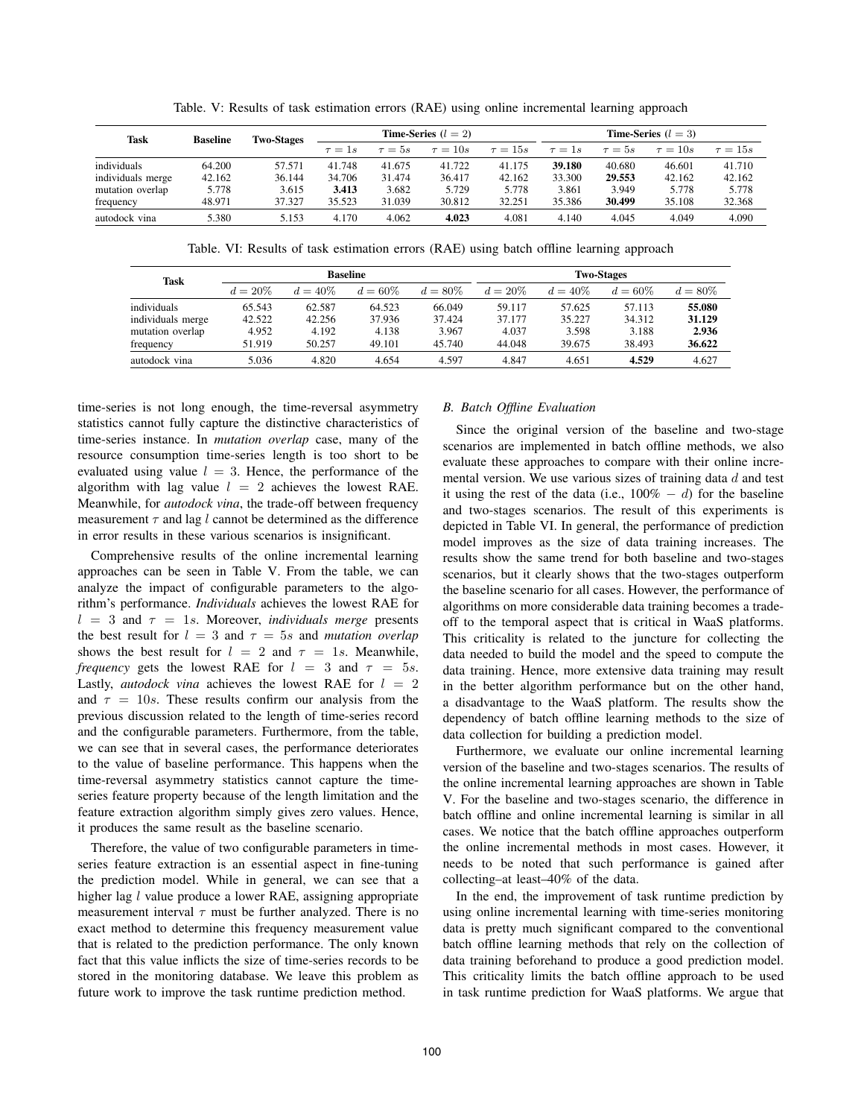| Task              | <b>Baseline</b> | <b>Two-Stages</b> | <b>Time-Series</b> $(l = 2)$ |             |              | <b>Time-Series</b> $(l = 3)$ |             |             |              |              |
|-------------------|-----------------|-------------------|------------------------------|-------------|--------------|------------------------------|-------------|-------------|--------------|--------------|
|                   |                 |                   | $\tau = 1s$                  | $\tau = 5s$ | $\tau = 10s$ | $\tau = 15s$                 | $\tau = 1s$ | $\tau = 5s$ | $\tau = 10s$ | $\tau = 15s$ |
| individuals       | 64.200          | 57.571            | 41.748                       | 41.675      | 41.722       | 41.175                       | 39.180      | 40.680      | 46.601       | 41.710       |
| individuals merge | 42.162          | 36.144            | 34.706                       | 31.474      | 36.417       | 42.162                       | 33.300      | 29.553      | 42.162       | 42.162       |
| mutation overlap  | 5.778           | 3.615             | 3.413                        | 3.682       | 5.729        | 5.778                        | 3.861       | 3.949       | 5.778        | 5.778        |
| frequency         | 48.971          | 37.327            | 35.523                       | 31.039      | 30.812       | 32.251                       | 35.386      | 30.499      | 35.108       | 32.368       |
| autodock vina     | 5.380           | 5.153             | 4.170                        | 4.062       | 4.023        | 4.081                        | 4.140       | 4.045       | 4.049        | 4.090        |

Table. V: Results of task estimation errors (RAE) using online incremental learning approach

Table. VI: Results of task estimation errors (RAE) using batch offline learning approach

| Task              | <b>Baseline</b> |            |            |            | <b>Two-Stages</b> |            |            |            |
|-------------------|-----------------|------------|------------|------------|-------------------|------------|------------|------------|
|                   | $d = 20\%$      | $d = 40\%$ | $d = 60\%$ | $d = 80\%$ | $d = 20\%$        | $d = 40\%$ | $d = 60\%$ | $d = 80\%$ |
| individuals       | 65.543          | 62.587     | 64.523     | 66.049     | 59.117            | 57.625     | 57.113     | 55.080     |
| individuals merge | 42.522          | 42.256     | 37.936     | 37.424     | 37.177            | 35.227     | 34.312     | 31.129     |
| mutation overlap  | 4.952           | 4.192      | 4.138      | 3.967      | 4.037             | 3.598      | 3.188      | 2.936      |
| frequency         | 51.919          | 50.257     | 49.101     | 45.740     | 44.048            | 39.675     | 38.493     | 36.622     |
| autodock vina     | 5.036           | 4.820      | 4.654      | 4.597      | 4.847             | 4.651      | 4.529      | 4.627      |

time-series is not long enough, the time-reversal asymmetry statistics cannot fully capture the distinctive characteristics of time-series instance. In *mutation overlap* case, many of the resource consumption time-series length is too short to be evaluated using value  $l = 3$ . Hence, the performance of the algorithm with lag value  $l = 2$  achieves the lowest RAE. Meanwhile, for *autodock vina*, the trade-off between frequency measurement  $\tau$  and lag l cannot be determined as the difference in error results in these various scenarios is insignificant.

Comprehensive results of the online incremental learning approaches can be seen in Table V. From the table, we can analyze the impact of configurable parameters to the algorithm's performance. *Individuals* achieves the lowest RAE for  $l = 3$  and  $\tau = 1s$ . Moreover, *individuals merge* presents the best result for  $l = 3$  and  $\tau = 5s$  and *mutation overlap* shows the best result for  $l = 2$  and  $\tau = 1s$ . Meanwhile, *frequency* gets the lowest RAE for  $l = 3$  and  $\tau = 5s$ . Lastly, *autodock vina* achieves the lowest RAE for  $l = 2$ and  $\tau = 10s$ . These results confirm our analysis from the previous discussion related to the length of time-series record and the configurable parameters. Furthermore, from the table, we can see that in several cases, the performance deteriorates to the value of baseline performance. This happens when the time-reversal asymmetry statistics cannot capture the timeseries feature property because of the length limitation and the feature extraction algorithm simply gives zero values. Hence, it produces the same result as the baseline scenario.

Therefore, the value of two configurable parameters in timeseries feature extraction is an essential aspect in fine-tuning the prediction model. While in general, we can see that a higher lag *l* value produce a lower RAE, assigning appropriate measurement interval  $\tau$  must be further analyzed. There is no exact method to determine this frequency measurement value that is related to the prediction performance. The only known fact that this value inflicts the size of time-series records to be stored in the monitoring database. We leave this problem as future work to improve the task runtime prediction method.

# *B. Batch Offline Evaluation*

Since the original version of the baseline and two-stage scenarios are implemented in batch offline methods, we also evaluate these approaches to compare with their online incremental version. We use various sizes of training data  $d$  and test it using the rest of the data (i.e.,  $100\% - d$ ) for the baseline and two-stages scenarios. The result of this experiments is depicted in Table VI. In general, the performance of prediction model improves as the size of data training increases. The results show the same trend for both baseline and two-stages scenarios, but it clearly shows that the two-stages outperform the baseline scenario for all cases. However, the performance of algorithms on more considerable data training becomes a tradeoff to the temporal aspect that is critical in WaaS platforms. This criticality is related to the juncture for collecting the data needed to build the model and the speed to compute the data training. Hence, more extensive data training may result in the better algorithm performance but on the other hand, a disadvantage to the WaaS platform. The results show the dependency of batch offline learning methods to the size of data collection for building a prediction model.

Furthermore, we evaluate our online incremental learning version of the baseline and two-stages scenarios. The results of the online incremental learning approaches are shown in Table V. For the baseline and two-stages scenario, the difference in batch offline and online incremental learning is similar in all cases. We notice that the batch offline approaches outperform the online incremental methods in most cases. However, it needs to be noted that such performance is gained after collecting–at least–40% of the data.

In the end, the improvement of task runtime prediction by using online incremental learning with time-series monitoring data is pretty much significant compared to the conventional batch offline learning methods that rely on the collection of data training beforehand to produce a good prediction model. This criticality limits the batch offline approach to be used in task runtime prediction for WaaS platforms. We argue that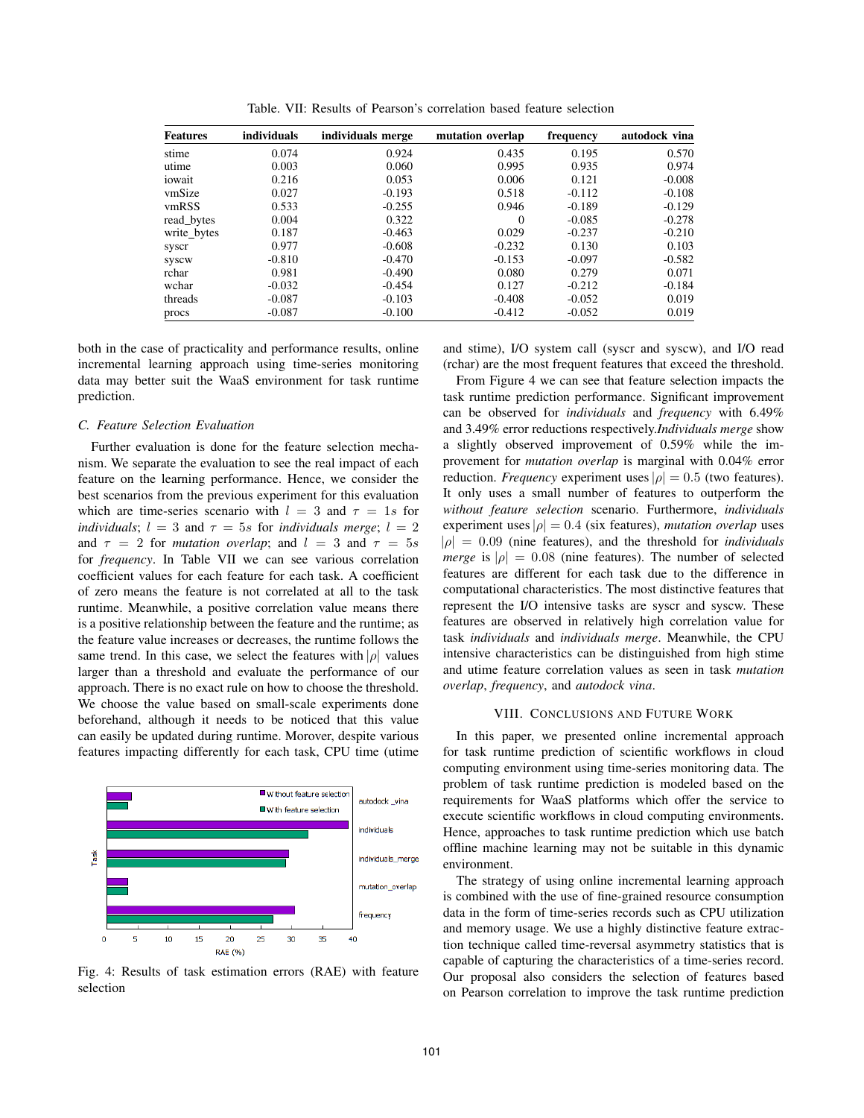| <b>Features</b> | individuals | individuals merge | mutation overlap | frequency | autodock vina |
|-----------------|-------------|-------------------|------------------|-----------|---------------|
| stime           | 0.074       | 0.924             | 0.435            | 0.195     | 0.570         |
| utime           | 0.003       | 0.060             | 0.995            | 0.935     | 0.974         |
| iowait          | 0.216       | 0.053             | 0.006            | 0.121     | $-0.008$      |
| vmSize          | 0.027       | $-0.193$          | 0.518            | $-0.112$  | $-0.108$      |
| vmRSS           | 0.533       | $-0.255$          | 0.946            | $-0.189$  | $-0.129$      |
| read_bytes      | 0.004       | 0.322             | $\mathbf{0}$     | $-0.085$  | $-0.278$      |
| write_bytes     | 0.187       | $-0.463$          | 0.029            | $-0.237$  | $-0.210$      |
| syscr           | 0.977       | $-0.608$          | $-0.232$         | 0.130     | 0.103         |
| syscw           | $-0.810$    | $-0.470$          | $-0.153$         | $-0.097$  | $-0.582$      |
| rchar           | 0.981       | $-0.490$          | 0.080            | 0.279     | 0.071         |
| wchar           | $-0.032$    | $-0.454$          | 0.127            | $-0.212$  | $-0.184$      |
| threads         | $-0.087$    | $-0.103$          | $-0.408$         | $-0.052$  | 0.019         |
| procs           | $-0.087$    | $-0.100$          | $-0.412$         | $-0.052$  | 0.019         |

both in the case of practicality and performance results, online incremental learning approach using time-series monitoring data may better suit the WaaS environment for task runtime prediction.

## *C. Feature Selection Evaluation*

Further evaluation is done for the feature selection mechanism. We separate the evaluation to see the real impact of each feature on the learning performance. Hence, we consider the best scenarios from the previous experiment for this evaluation which are time-series scenario with  $l = 3$  and  $\tau = 1s$  for *individuals*;  $l = 3$  and  $\tau = 5s$  for *individuals merge*;  $l = 2$ and  $\tau = 2$  for *mutation overlap*; and  $l = 3$  and  $\tau = 5s$ for *frequency*. In Table VII we can see various correlation coefficient values for each feature for each task. A coefficient of zero means the feature is not correlated at all to the task runtime. Meanwhile, a positive correlation value means there is a positive relationship between the feature and the runtime; as the feature value increases or decreases, the runtime follows the same trend. In this case, we select the features with  $|\rho|$  values larger than a threshold and evaluate the performance of our approach. There is no exact rule on how to choose the threshold. We choose the value based on small-scale experiments done beforehand, although it needs to be noticed that this value can easily be updated during runtime. Morover, despite various features impacting differently for each task, CPU time (utime



Fig. 4: Results of task estimation errors (RAE) with feature selection

and stime), I/O system call (syscr and syscw), and I/O read (rchar) are the most frequent features that exceed the threshold.

From Figure 4 we can see that feature selection impacts the task runtime prediction performance. Significant improvement can be observed for *individuals* and *frequency* with 6.49% and 3.49% error reductions respectively.*Individuals merge* show a slightly observed improvement of 0.59% while the improvement for *mutation overlap* is marginal with 0.04% error reduction. *Frequency* experiment uses  $|\rho| = 0.5$  (two features). It only uses a small number of features to outperform the *without feature selection* scenario. Furthermore, *individuals* experiment uses  $|\rho| = 0.4$  (six features), *mutation overlap* uses  $|\rho| = 0.09$  (nine features), and the threshold for *individuals merge* is  $|\rho| = 0.08$  (nine features). The number of selected features are different for each task due to the difference in computational characteristics. The most distinctive features that represent the I/O intensive tasks are syscr and syscw. These features are observed in relatively high correlation value for task *individuals* and *individuals merge*. Meanwhile, the CPU intensive characteristics can be distinguished from high stime and utime feature correlation values as seen in task *mutation overlap*, *frequency*, and *autodock vina*.

## VIII. CONCLUSIONS AND FUTURE WORK

In this paper, we presented online incremental approach for task runtime prediction of scientific workflows in cloud computing environment using time-series monitoring data. The problem of task runtime prediction is modeled based on the requirements for WaaS platforms which offer the service to execute scientific workflows in cloud computing environments. Hence, approaches to task runtime prediction which use batch offline machine learning may not be suitable in this dynamic environment.

The strategy of using online incremental learning approach is combined with the use of fine-grained resource consumption data in the form of time-series records such as CPU utilization and memory usage. We use a highly distinctive feature extraction technique called time-reversal asymmetry statistics that is capable of capturing the characteristics of a time-series record. Our proposal also considers the selection of features based on Pearson correlation to improve the task runtime prediction